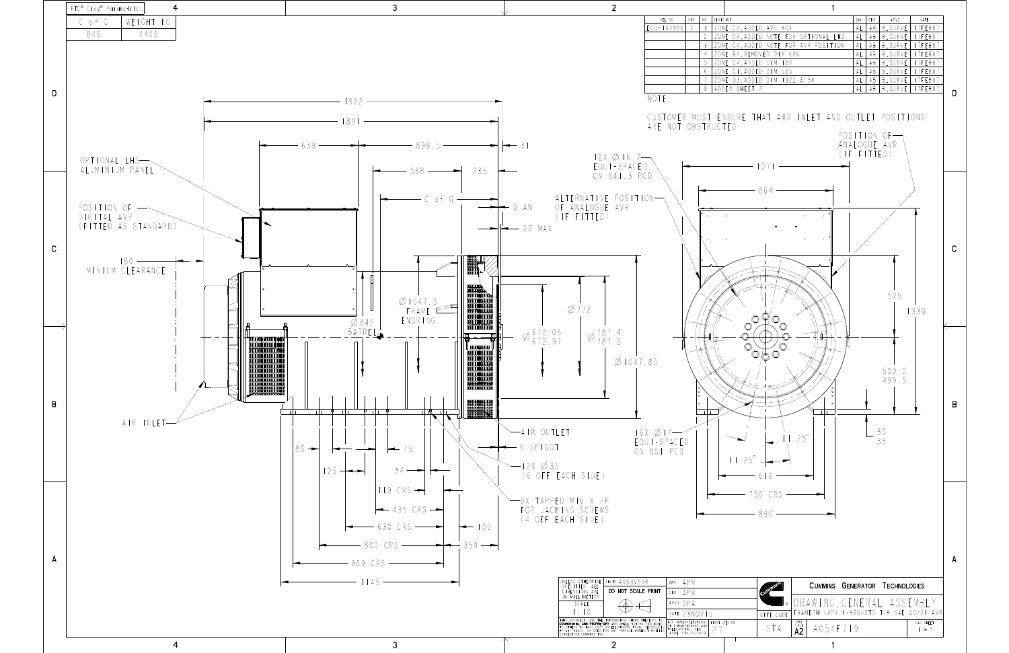